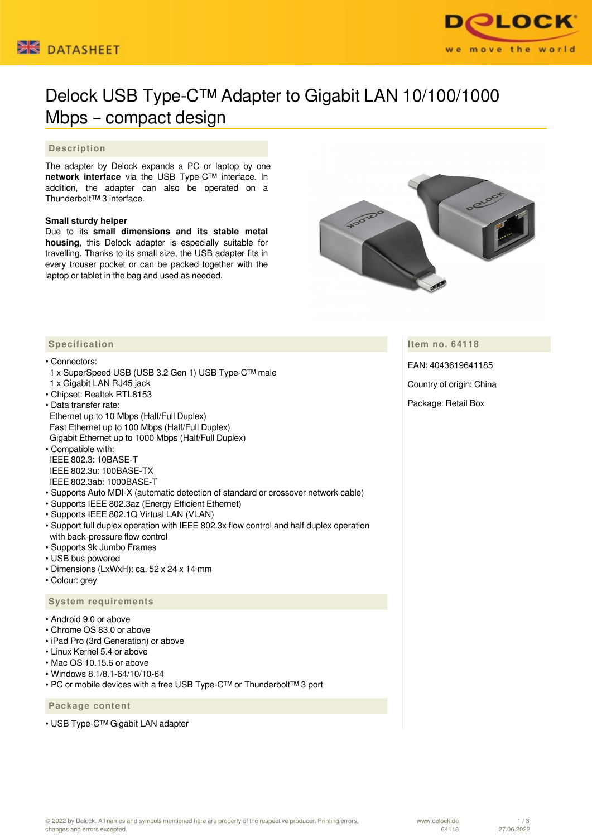



# Delock USB Type-C™ Adapter to Gigabit LAN 10/100/1000 Mbps – compact design

### **Description**

The adapter by Delock expands a PC or laptop by one **network interface** via the USB Type-C™ interface. In addition, the adapter can also be operated on a Thunderbolt™ 3 interface.

#### **Small sturdy helper**

Due to its **small dimensions and its stable metal housing**, this Delock adapter is especially suitable for travelling. Thanks to its small size, the USB adapter fits in every trouser pocket or can be packed together with the laptop or tablet in the bag and used as needed.



**Item no. 64118**

EAN: 4043619641185

Country of origin: China

Package: Retail Box

### **Specification**

#### • Connectors:

- 1 x SuperSpeed USB (USB 3.2 Gen 1) USB Type-C™ male 1 x Gigabit LAN RJ45 jack
- Chipset: Realtek RTL8153
- Data transfer rate: Ethernet up to 10 Mbps (Half/Full Duplex) Fast Ethernet up to 100 Mbps (Half/Full Duplex) Gigabit Ethernet up to 1000 Mbps (Half/Full Duplex)

• Compatible with: IEEE 802.3: 10BASE-T IEEE 802.3u: 100BASE-TX IEEE 802.3ab: 1000BASE-T

- Supports Auto MDI-X (automatic detection of standard or crossover network cable)
- Supports IEEE 802.3az (Energy Efficient Ethernet)
- Supports IEEE 802.1Q Virtual LAN (VLAN)
- Support full duplex operation with IEEE 802.3x flow control and half duplex operation with back-pressure flow control
- Supports 9k Jumbo Frames
- USB bus powered
- Dimensions (LxWxH): ca. 52 x 24 x 14 mm
- Colour: grey

### **System requirements**

- Android 9.0 or above
- Chrome OS 83.0 or above
- iPad Pro (3rd Generation) or above
- Linux Kernel 5.4 or above
- Mac OS 10.15.6 or above
- Windows 8.1/8.1-64/10/10-64
- PC or mobile devices with a free USB Type-C™ or Thunderbolt™ 3 port

 **Package content**

• USB Type-C™ Gigabit LAN adapter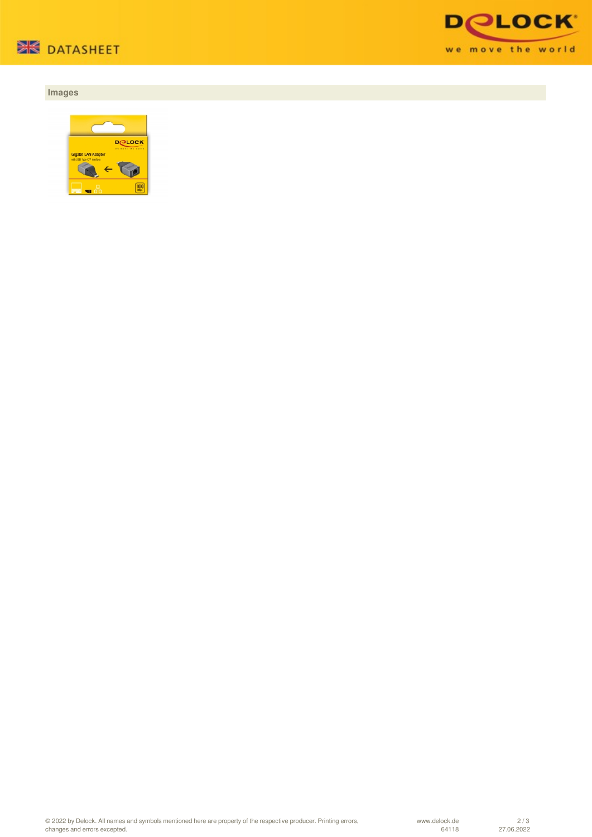

## **Images**